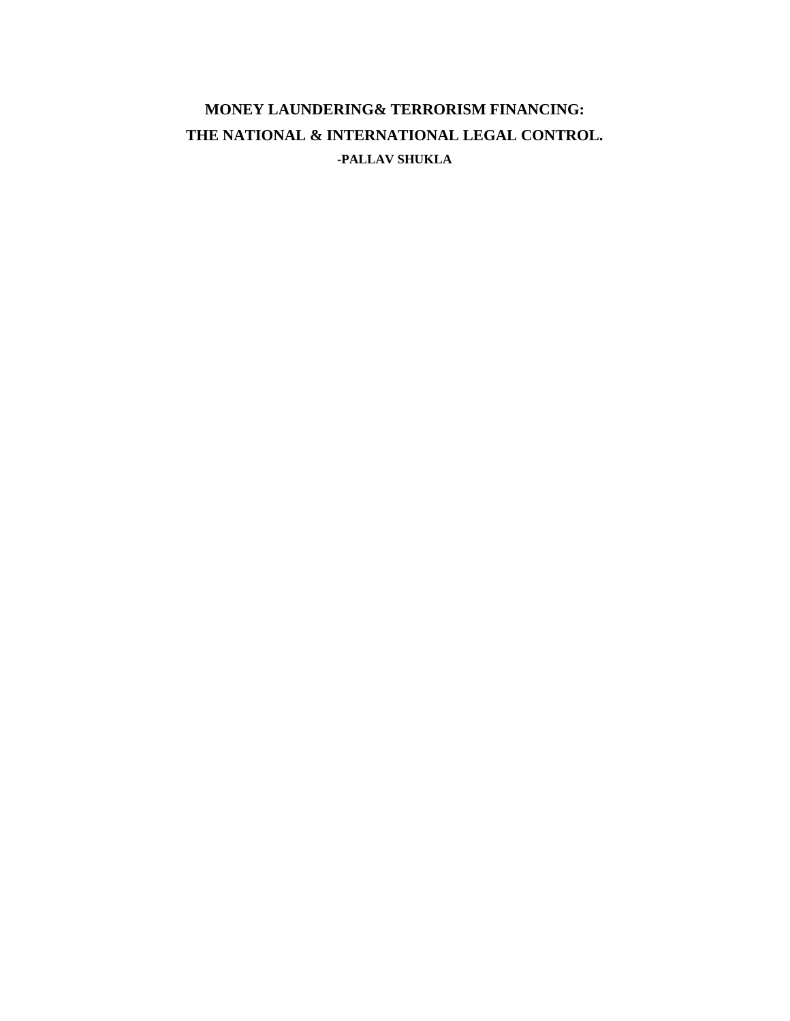# **MONEY LAUNDERING& TERRORISM FINANCING: THE NATIONAL & INTERNATIONAL LEGAL CONTROL. -PALLAV SHUKLA**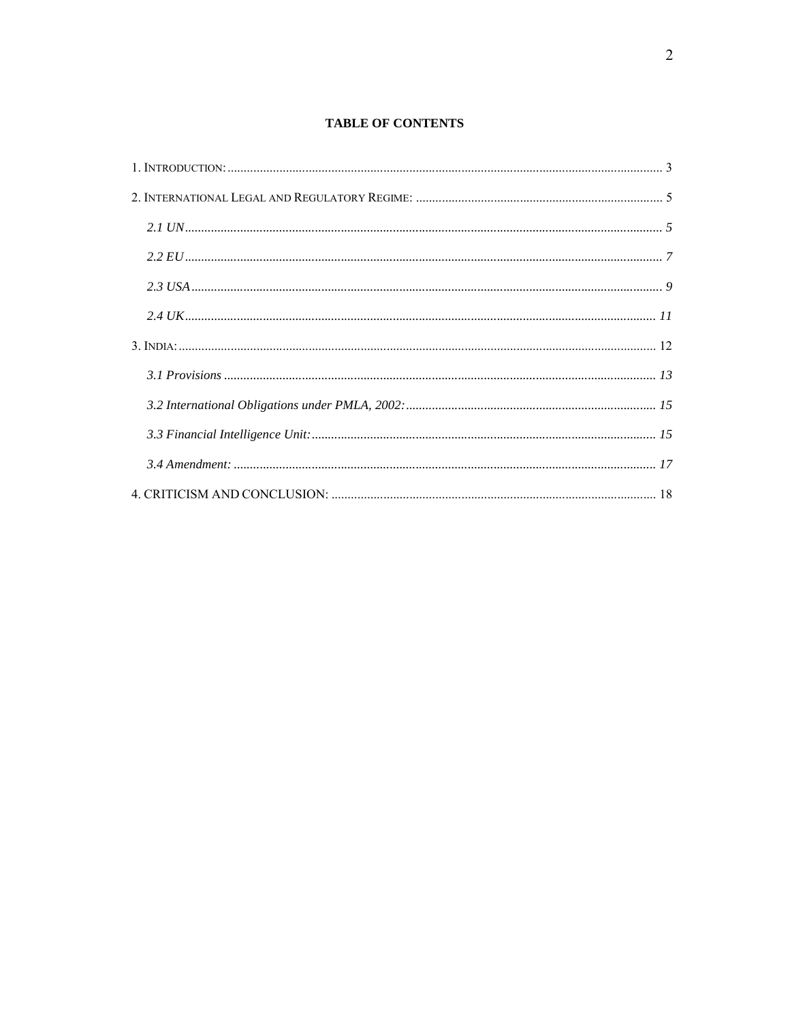#### **TABLE OF CONTENTS**

| 1. INTRODUCTION: 33 |  |
|---------------------|--|
|                     |  |
|                     |  |
|                     |  |
|                     |  |
|                     |  |
|                     |  |
|                     |  |
|                     |  |
|                     |  |
|                     |  |
|                     |  |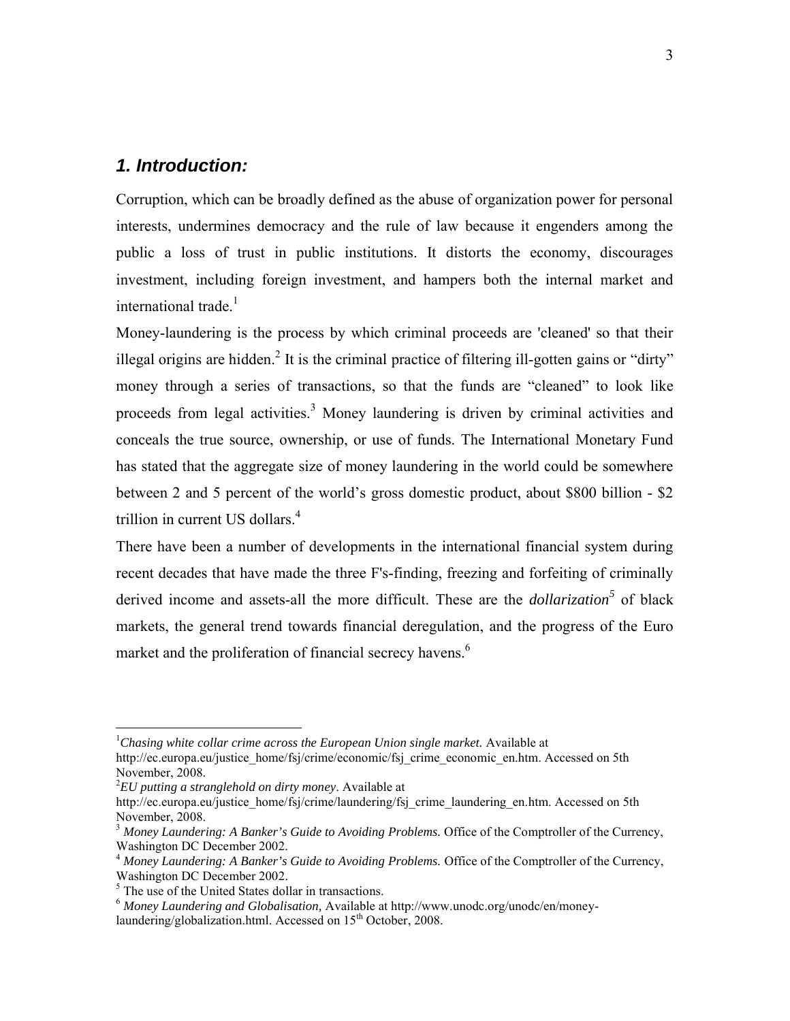## *1. Introduction:*

Corruption, which can be broadly defined as the abuse of organization power for personal interests, undermines democracy and the rule of law because it engenders among the public a loss of trust in public institutions. It distorts the economy, discourages investment, including foreign investment, and hampers both the internal market and international trade. $<sup>1</sup>$ </sup>

Money-laundering is the process by which criminal proceeds are 'cleaned' so that their illegal origins are hidden.<sup>2</sup> It is the criminal practice of filtering ill-gotten gains or "dirty" money through a series of transactions, so that the funds are "cleaned" to look like proceeds from legal activities.<sup>3</sup> Money laundering is driven by criminal activities and conceals the true source, ownership, or use of funds. The International Monetary Fund has stated that the aggregate size of money laundering in the world could be somewhere between 2 and 5 percent of the world's gross domestic product, about \$800 billion - \$2 trillion in current US dollars.<sup>4</sup>

There have been a number of developments in the international financial system during recent decades that have made the three F's-finding, freezing and forfeiting of criminally derived income and assets-all the more difficult. These are the *dollarization<sup>5</sup>* of black markets, the general trend towards financial deregulation, and the progress of the Euro market and the proliferation of financial secrecy havens.<sup>6</sup>

<sup>1</sup> *Chasing white collar crime across the European Union single market.* Available at http://ec.europa.eu/justice\_home/fsj/crime/economic/fsj\_crime\_economic\_en.htm. Accessed on 5th November, 2008.

<sup>2</sup> *EU putting a stranglehold on dirty money*. Available at

http://ec.europa.eu/justice\_home/fsj/crime/laundering/fsj\_crime\_laundering\_en.htm. Accessed on 5th November, 2008.

<sup>3</sup> *Money Laundering: A Banker's Guide to Avoiding Problems.* Office of the Comptroller of the Currency, Washington DC December 2002.

<sup>4</sup> *Money Laundering: A Banker's Guide to Avoiding Problems.* Office of the Comptroller of the Currency, Washington DC December 2002.

<sup>&</sup>lt;sup>5</sup> The use of the United States dollar in transactions.

<sup>6</sup> *Money Laundering and Globalisation,* Available at http://www.unodc.org/unodc/en/moneylaundering/globalization.html. Accessed on 15<sup>th</sup> October, 2008.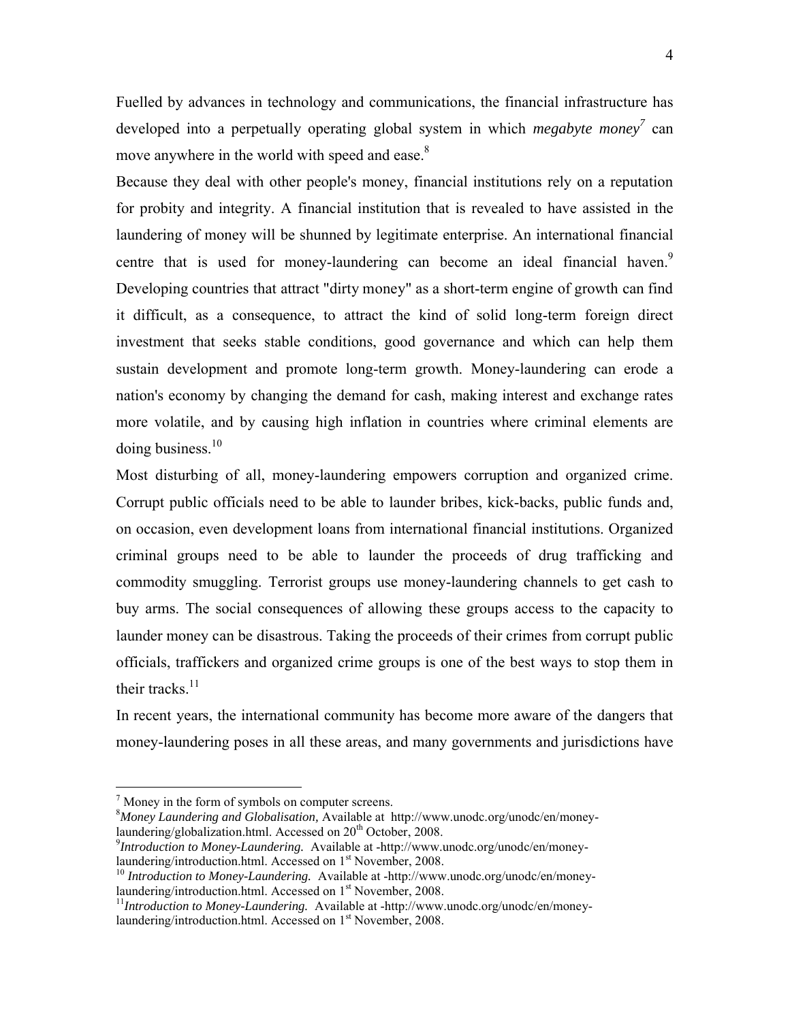Fuelled by advances in technology and communications, the financial infrastructure has developed into a perpetually operating global system in which *megabyte money*<sup>7</sup> can move anywhere in the world with speed and ease.<sup>8</sup>

Because they deal with other people's money, financial institutions rely on a reputation for probity and integrity. A financial institution that is revealed to have assisted in the laundering of money will be shunned by legitimate enterprise. An international financial centre that is used for money-laundering can become an ideal financial haven.<sup>9</sup> Developing countries that attract "dirty money" as a short-term engine of growth can find it difficult, as a consequence, to attract the kind of solid long-term foreign direct investment that seeks stable conditions, good governance and which can help them sustain development and promote long-term growth. Money-laundering can erode a nation's economy by changing the demand for cash, making interest and exchange rates more volatile, and by causing high inflation in countries where criminal elements are  $\frac{10}{10}$  business.<sup>10</sup>

Most disturbing of all, money-laundering empowers corruption and organized crime. Corrupt public officials need to be able to launder bribes, kick-backs, public funds and, on occasion, even development loans from international financial institutions. Organized criminal groups need to be able to launder the proceeds of drug trafficking and commodity smuggling. Terrorist groups use money-laundering channels to get cash to buy arms. The social consequences of allowing these groups access to the capacity to launder money can be disastrous. Taking the proceeds of their crimes from corrupt public officials, traffickers and organized crime groups is one of the best ways to stop them in their tracks. $11$ 

In recent years, the international community has become more aware of the dangers that money-laundering poses in all these areas, and many governments and jurisdictions have

 $<sup>7</sup>$  Money in the form of symbols on computer screens.</sup>

<sup>8</sup> *Money Laundering and Globalisation,* Available at http://www.unodc.org/unodc/en/moneylaundering/globalization.html. Accessed on  $20<sup>th</sup>$  October, 2008.

<sup>&</sup>lt;sup>9</sup>*Introduction to Money-Laundering.* Available at -http://www.unodc.org/unodc/en/money-<br>laundering/introduction.html. Accessed on 1<sup>st</sup> November. 2008.

<sup>&</sup>lt;sup>10</sup> *Introduction to Money-Laundering.* Available at -http://www.unodc.org/unodc/en/money-laundering/introduction.html. Accessed on 1<sup>st</sup> November, 2008.

<sup>&</sup>lt;sup>11</sup>Introduction to Money-Laundering. Available at -http://www.unodc.org/unodc/en/moneylaundering/introduction.html. Accessed on 1<sup>st</sup> November, 2008.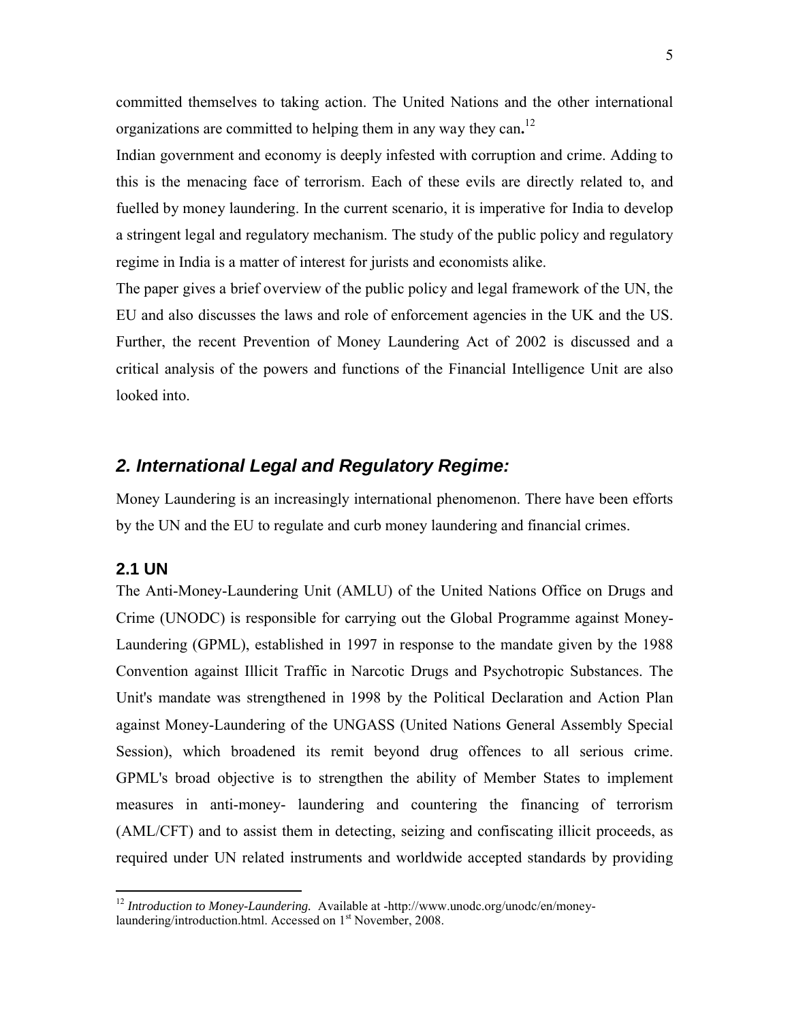committed themselves to taking action. The United Nations and the other international organizations are committed to helping them in any way they can**.** 12

Indian government and economy is deeply infested with corruption and crime. Adding to this is the menacing face of terrorism. Each of these evils are directly related to, and fuelled by money laundering. In the current scenario, it is imperative for India to develop a stringent legal and regulatory mechanism. The study of the public policy and regulatory regime in India is a matter of interest for jurists and economists alike.

The paper gives a brief overview of the public policy and legal framework of the UN, the EU and also discusses the laws and role of enforcement agencies in the UK and the US. Further, the recent Prevention of Money Laundering Act of 2002 is discussed and a critical analysis of the powers and functions of the Financial Intelligence Unit are also looked into.

## *2. International Legal and Regulatory Regime:*

Money Laundering is an increasingly international phenomenon. There have been efforts by the UN and the EU to regulate and curb money laundering and financial crimes.

## **2.1 UN**

 $\overline{a}$ 

The Anti-Money-Laundering Unit (AMLU) of the United Nations Office on Drugs and Crime (UNODC) is responsible for carrying out the Global Programme against Money-Laundering (GPML), established in 1997 in response to the mandate given by the 1988 Convention against Illicit Traffic in Narcotic Drugs and Psychotropic Substances. The Unit's mandate was strengthened in 1998 by the Political Declaration and Action Plan against Money-Laundering of the UNGASS (United Nations General Assembly Special Session), which broadened its remit beyond drug offences to all serious crime. GPML's broad objective is to strengthen the ability of Member States to implement measures in anti-money- laundering and countering the financing of terrorism (AML/CFT) and to assist them in detecting, seizing and confiscating illicit proceeds, as required under UN related instruments and worldwide accepted standards by providing

<sup>&</sup>lt;sup>12</sup> *Introduction to Money-Laundering.* Available at -http://www.unodc.org/unodc/en/moneylaundering/introduction.html. Accessed on 1<sup>st</sup> November, 2008.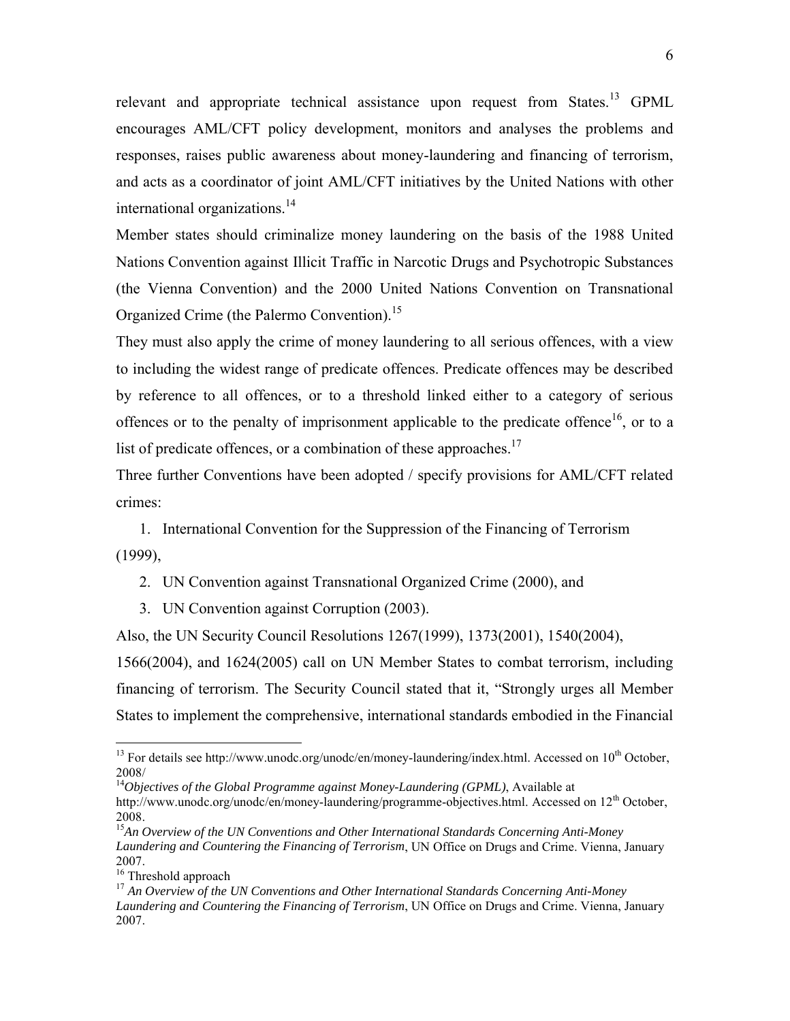relevant and appropriate technical assistance upon request from States.<sup>13</sup> GPML encourages AML/CFT policy development, monitors and analyses the problems and responses, raises public awareness about money-laundering and financing of terrorism, and acts as a coordinator of joint AML/CFT initiatives by the United Nations with other international organizations.<sup>14</sup>

Member states should criminalize money laundering on the basis of the 1988 United Nations Convention against Illicit Traffic in Narcotic Drugs and Psychotropic Substances (the Vienna Convention) and the 2000 United Nations Convention on Transnational Organized Crime (the Palermo Convention).<sup>15</sup>

They must also apply the crime of money laundering to all serious offences, with a view to including the widest range of predicate offences. Predicate offences may be described by reference to all offences, or to a threshold linked either to a category of serious offences or to the penalty of imprisonment applicable to the predicate offence<sup>16</sup>, or to a list of predicate offences, or a combination of these approaches.<sup>17</sup>

Three further Conventions have been adopted / specify provisions for AML/CFT related crimes:

1. International Convention for the Suppression of the Financing of Terrorism (1999),

2. UN Convention against Transnational Organized Crime (2000), and

3. UN Convention against Corruption (2003).

Also, the UN Security Council Resolutions 1267(1999), 1373(2001), 1540(2004),

1566(2004), and 1624(2005) call on UN Member States to combat terrorism, including financing of terrorism. The Security Council stated that it, "Strongly urges all Member States to implement the comprehensive, international standards embodied in the Financial

<sup>14</sup>Objectives of the Global Programme against Money-Laundering (GPML), Available at

 $^{13}$  For details see http://www.unodc.org/unodc/en/money-laundering/index.html. Accessed on  $10^{th}$  October, 2008/

http://www.unodc.org/unodc/en/money-laundering/programme-objectives.html. Accessed on 12<sup>th</sup> October, 2008.

<sup>&</sup>lt;sup>15</sup>An Overview of the UN Conventions and Other International Standards Concerning Anti-Money *Laundering and Countering the Financing of Terrorism*, UN Office on Drugs and Crime. Vienna, January 2007.

<sup>&</sup>lt;sup>16</sup> Threshold approach

<sup>&</sup>lt;sup>17</sup> An Overview of the UN Conventions and Other International Standards Concerning Anti-Money *Laundering and Countering the Financing of Terrorism*, UN Office on Drugs and Crime. Vienna, January 2007.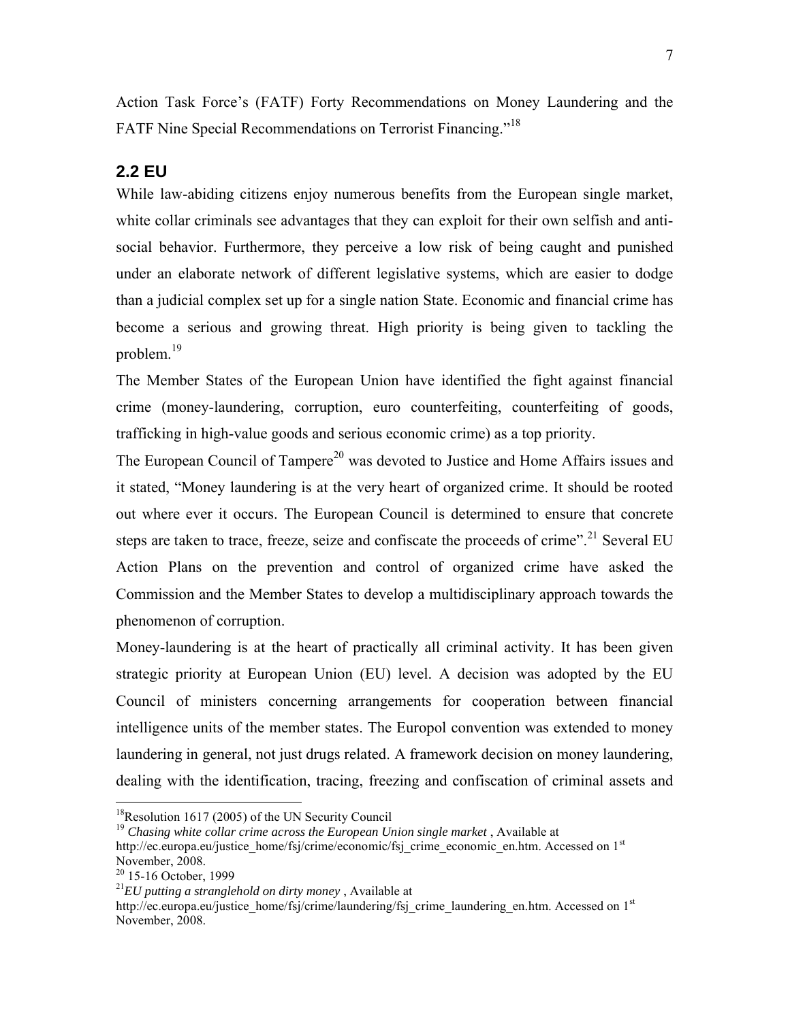Action Task Force's (FATF) Forty Recommendations on Money Laundering and the FATF Nine Special Recommendations on Terrorist Financing."<sup>18</sup>

## **2.2 EU**

While law-abiding citizens enjoy numerous benefits from the European single market, white collar criminals see advantages that they can exploit for their own selfish and antisocial behavior. Furthermore, they perceive a low risk of being caught and punished under an elaborate network of different legislative systems, which are easier to dodge than a judicial complex set up for a single nation State. Economic and financial crime has become a serious and growing threat. High priority is being given to tackling the problem.<sup>19</sup>

The Member States of the European Union have identified the fight against financial crime (money-laundering, corruption, euro counterfeiting, counterfeiting of goods, trafficking in high-value goods and serious economic crime) as a top priority.

The European Council of Tampere<sup>20</sup> was devoted to Justice and Home Affairs issues and it stated, "Money laundering is at the very heart of organized crime. It should be rooted out where ever it occurs. The European Council is determined to ensure that concrete steps are taken to trace, freeze, seize and confiscate the proceeds of crime".<sup>21</sup> Several EU Action Plans on the prevention and control of organized crime have asked the Commission and the Member States to develop a multidisciplinary approach towards the phenomenon of corruption.

Money-laundering is at the heart of practically all criminal activity. It has been given strategic priority at European Union (EU) level. A decision was adopted by the EU Council of ministers concerning arrangements for cooperation between financial intelligence units of the member states. The Europol convention was extended to money laundering in general, not just drugs related. A framework decision on money laundering, dealing with the identification, tracing, freezing and confiscation of criminal assets and

 $18$ Resolution 1617 (2005) of the UN Security Council

<sup>&</sup>lt;sup>19</sup> Chasing white collar crime across the European Union single market, Available at http://ec.europa.eu/justice\_home/fsj/crime/economic/fsj\_crime\_economic\_en.htm. Accessed on 1<sup>st</sup> November, 2008.

<sup>&</sup>lt;sup>20</sup> 15-16 October, 1999

<sup>21</sup>*EU putting a stranglehold on dirty money* , Available at

http://ec.europa.eu/justice\_home/fsj/crime/laundering/fsj\_crime\_laundering\_en.htm. Accessed on 1<sup>st</sup> November, 2008.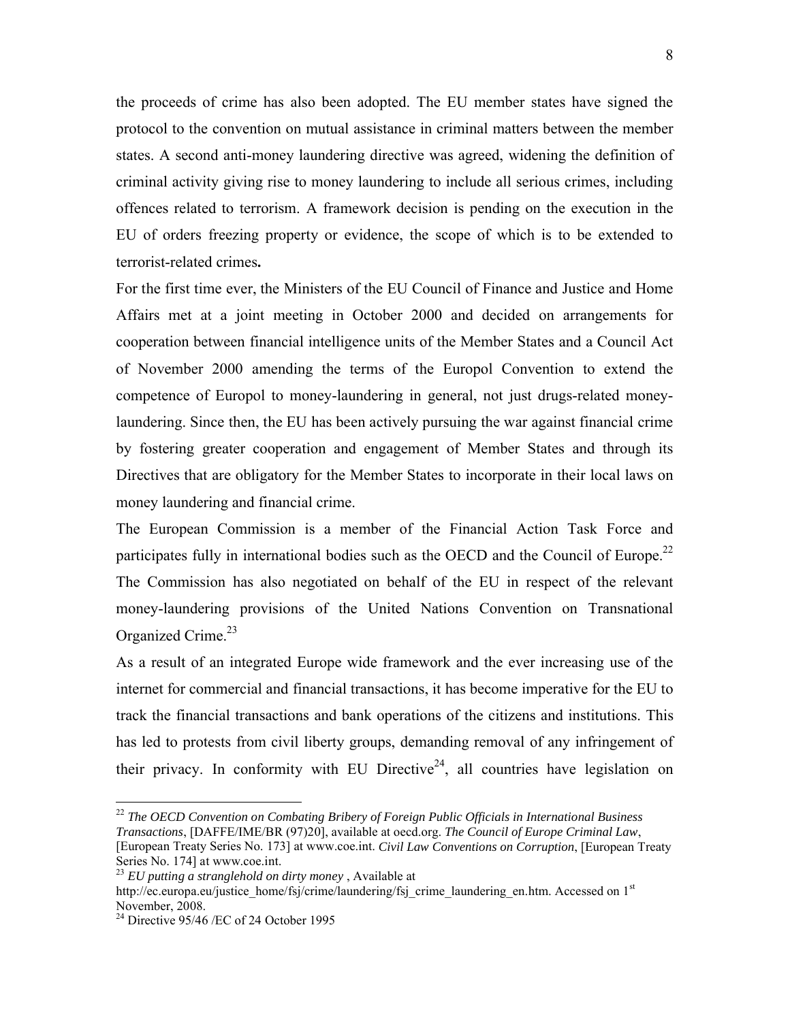the proceeds of crime has also been adopted. The EU member states have signed the protocol to the convention on mutual assistance in criminal matters between the member states. A second anti-money laundering directive was agreed, widening the definition of criminal activity giving rise to money laundering to include all serious crimes, including offences related to terrorism. A framework decision is pending on the execution in the EU of orders freezing property or evidence, the scope of which is to be extended to terrorist-related crimes**.**

For the first time ever, the Ministers of the EU Council of Finance and Justice and Home Affairs met at a joint meeting in October 2000 and decided on arrangements for cooperation between financial intelligence units of the Member States and a Council Act of November 2000 amending the terms of the Europol Convention to extend the competence of Europol to money-laundering in general, not just drugs-related moneylaundering. Since then, the EU has been actively pursuing the war against financial crime by fostering greater cooperation and engagement of Member States and through its Directives that are obligatory for the Member States to incorporate in their local laws on money laundering and financial crime.

The European Commission is a member of the Financial Action Task Force and participates fully in international bodies such as the OECD and the Council of Europe.<sup>22</sup> The Commission has also negotiated on behalf of the EU in respect of the relevant money-laundering provisions of the United Nations Convention on Transnational Organized Crime.<sup>23</sup>

As a result of an integrated Europe wide framework and the ever increasing use of the internet for commercial and financial transactions, it has become imperative for the EU to track the financial transactions and bank operations of the citizens and institutions. This has led to protests from civil liberty groups, demanding removal of any infringement of their privacy. In conformity with EU Directive<sup>24</sup>, all countries have legislation on

1 <sup>22</sup> *The OECD Convention on Combating Bribery of Foreign Public Officials in International Business Transactions*, [DAFFE/IME/BR (97)20], available at oecd.org. *The Council of Europe Criminal Law*, [European Treaty Series No. 173] at www.coe.int. *Civil Law Conventions on Corruption*, [European Treaty Series No. 174] at www.coe.int.

http://ec.europa.eu/justice\_home/fsj/crime/laundering/fsj\_crime\_laundering\_en.htm. Accessed on 1<sup>st</sup> November, 2008.

<sup>23</sup> *EU putting a stranglehold on dirty money* , Available at

 $24$  Directive 95/46 /EC of 24 October 1995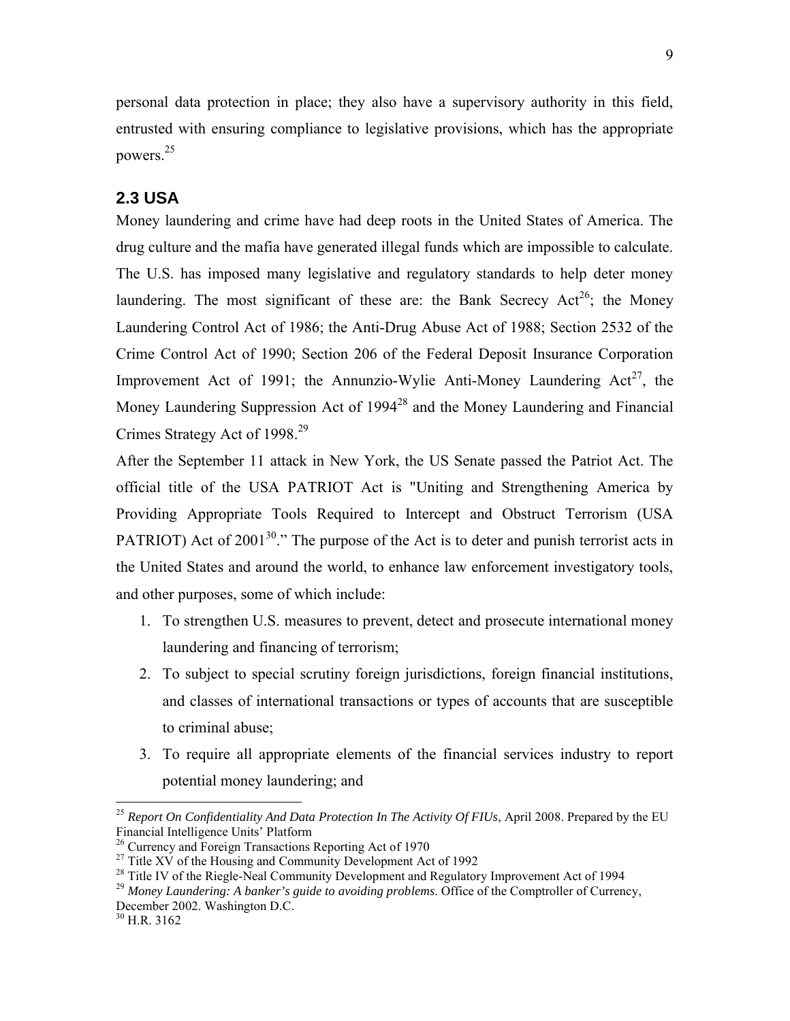personal data protection in place; they also have a supervisory authority in this field, entrusted with ensuring compliance to legislative provisions, which has the appropriate powers.<sup>25</sup>

## **2.3 USA**

Money laundering and crime have had deep roots in the United States of America. The drug culture and the mafia have generated illegal funds which are impossible to calculate. The U.S. has imposed many legislative and regulatory standards to help deter money laundering. The most significant of these are: the Bank Secrecy  $Act^{26}$ ; the Money Laundering Control Act of 1986; the Anti-Drug Abuse Act of 1988; Section 2532 of the Crime Control Act of 1990; Section 206 of the Federal Deposit Insurance Corporation Improvement Act of 1991; the Annunzio-Wylie Anti-Money Laundering  $Act^{27}$ , the Money Laundering Suppression Act of 1994<sup>28</sup> and the Money Laundering and Financial Crimes Strategy Act of 1998.<sup>29</sup>

After the September 11 attack in New York, the US Senate passed the Patriot Act. The official title of the USA PATRIOT Act is "Uniting and Strengthening America by Providing Appropriate Tools Required to Intercept and Obstruct Terrorism (USA PATRIOT) Act of 2001<sup>30</sup>." The purpose of the Act is to deter and punish terrorist acts in the United States and around the world, to enhance law enforcement investigatory tools, and other purposes, some of which include:

- 1. To strengthen U.S. measures to prevent, detect and prosecute international money laundering and financing of terrorism;
- 2. To subject to special scrutiny foreign jurisdictions, foreign financial institutions, and classes of international transactions or types of accounts that are susceptible to criminal abuse;
- 3. To require all appropriate elements of the financial services industry to report potential money laundering; and

<sup>&</sup>lt;sup>25</sup> Report On Confidentiality And Data Protection In The Activity Of FIUs, April 2008. Prepared by the EU Financial Intelligence Units' Platform<br><sup>26</sup> Currency and Foreign Transactions Reporting Act of 1970

<sup>&</sup>lt;sup>27</sup> Title XV of the Housing and Community Development Act of 1992<br><sup>28</sup> Title IV of the Riegle-Neal Community Development and Regulatory Improvement Act of 1994<br><sup>29</sup> Money Laundering: A banker's guide to avoiding problems

December 2002. Washington D.C.

<sup>30</sup> H.R. 3162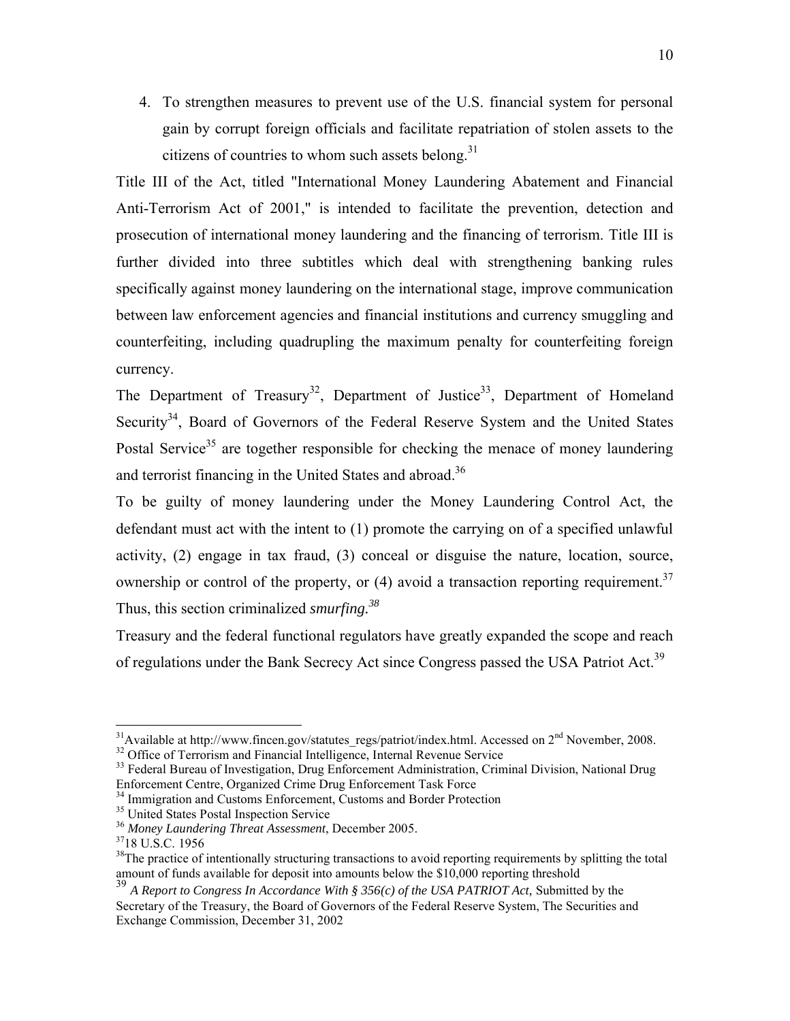4. To strengthen measures to prevent use of the U.S. financial system for personal gain by corrupt foreign officials and facilitate repatriation of stolen assets to the citizens of countries to whom such assets belong. $31$ 

Title III of the Act, titled "International Money Laundering Abatement and Financial Anti-Terrorism Act of 2001," is intended to facilitate the prevention, detection and prosecution of international money laundering and the financing of terrorism. Title III is further divided into three subtitles which deal with strengthening banking rules specifically against money laundering on the international stage, improve communication between law enforcement agencies and financial institutions and currency smuggling and counterfeiting, including quadrupling the maximum penalty for counterfeiting foreign currency.

The Department of Treasury<sup>32</sup>, Department of Justice<sup>33</sup>, Department of Homeland Security<sup>34</sup>, Board of Governors of the Federal Reserve System and the United States Postal Service<sup>35</sup> are together responsible for checking the menace of money laundering and terrorist financing in the United States and abroad.<sup>36</sup>

To be guilty of money laundering under the Money Laundering Control Act, the defendant must act with the intent to (1) promote the carrying on of a specified unlawful activity, (2) engage in tax fraud, (3) conceal or disguise the nature, location, source, ownership or control of the property, or  $(4)$  avoid a transaction reporting requirement.<sup>37</sup> Thus, this section criminalized *smurfing.38*

Treasury and the federal functional regulators have greatly expanded the scope and reach of regulations under the Bank Secrecy Act since Congress passed the USA Patriot Act.<sup>39</sup>

<sup>&</sup>lt;sup>31</sup>Available at http://www.fincen.gov/statutes\_regs/patriot/index.html. Accessed on  $2<sup>nd</sup>$  November, 2008.  $3<sup>2</sup>$  Office of Terrorism and Financial Intelligence, Internal Revenue Service

<sup>&</sup>lt;sup>33</sup> Federal Bureau of Investigation, Drug Enforcement Administration, Criminal Division, National Drug Enforcement Centre, Organized Crime Drug Enforcement Task Force

<sup>&</sup>lt;sup>34</sup> Immigration and Customs Enforcement, Customs and Border Protection

<sup>&</sup>lt;sup>35</sup> United States Postal Inspection Service

<sup>36</sup> *Money Laundering Threat Assessment*, December 2005. 3718 U.S.C. 1956

 $38$ The practice of intentionally structuring transactions to avoid reporting requirements by splitting the total amount of funds available for deposit into amounts below the \$10,000 reporting threshold

<sup>&</sup>lt;sup>39</sup> A Report to Congress In Accordance With § 356(c) of the USA PATRIOT Act, Submitted by the Secretary of the Treasury, the Board of Governors of the Federal Reserve System, The Securities and Exchange Commission, December 31, 2002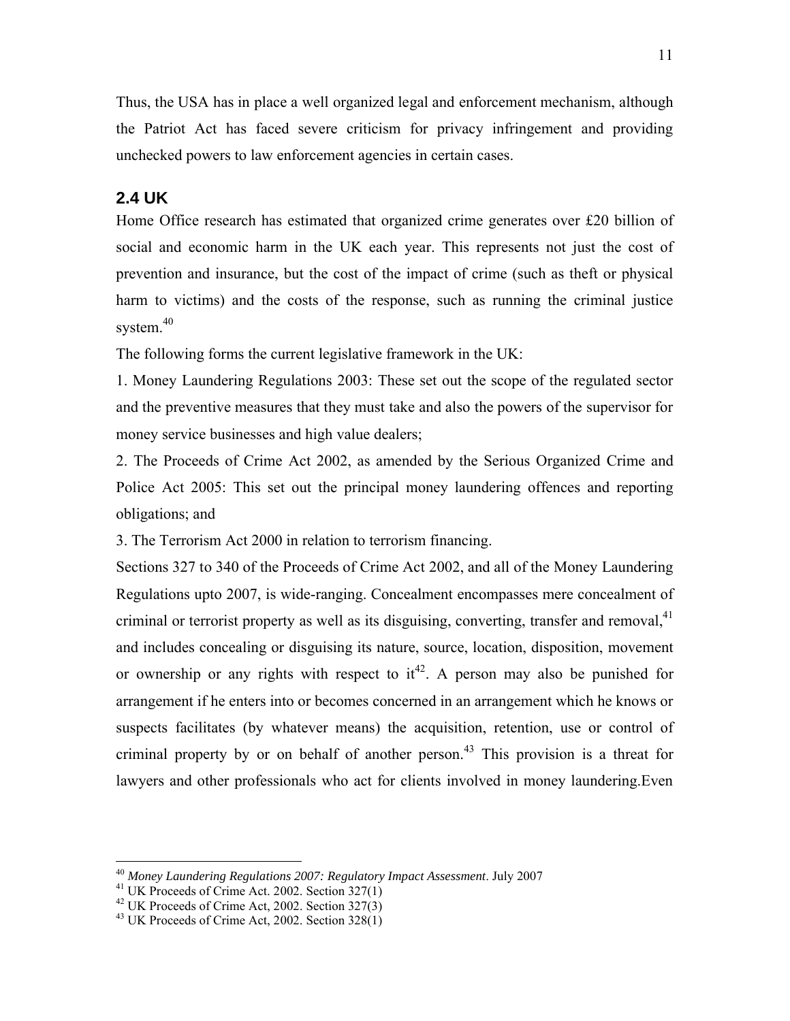Thus, the USA has in place a well organized legal and enforcement mechanism, although the Patriot Act has faced severe criticism for privacy infringement and providing unchecked powers to law enforcement agencies in certain cases.

## **2.4 UK**

Home Office research has estimated that organized crime generates over £20 billion of social and economic harm in the UK each year. This represents not just the cost of prevention and insurance, but the cost of the impact of crime (such as theft or physical harm to victims) and the costs of the response, such as running the criminal justice system. $40$ 

The following forms the current legislative framework in the UK:

1. Money Laundering Regulations 2003: These set out the scope of the regulated sector and the preventive measures that they must take and also the powers of the supervisor for money service businesses and high value dealers;

2. The Proceeds of Crime Act 2002, as amended by the Serious Organized Crime and Police Act 2005: This set out the principal money laundering offences and reporting obligations; and

3. The Terrorism Act 2000 in relation to terrorism financing.

Sections 327 to 340 of the Proceeds of Crime Act 2002, and all of the Money Laundering Regulations upto 2007, is wide-ranging. Concealment encompasses mere concealment of criminal or terrorist property as well as its disguising, converting, transfer and removal,<sup>41</sup> and includes concealing or disguising its nature, source, location, disposition, movement or ownership or any rights with respect to  $it^{42}$ . A person may also be punished for arrangement if he enters into or becomes concerned in an arrangement which he knows or suspects facilitates (by whatever means) the acquisition, retention, use or control of criminal property by or on behalf of another person.<sup>43</sup> This provision is a threat for lawyers and other professionals who act for clients involved in money laundering.Even

<sup>&</sup>lt;sup>40</sup> Money Laundering Regulations 2007: Regulatory Impact Assessment. July 2007<br><sup>41</sup> UK Proceeds of Crime Act. 2002. Section 327(1)

<sup>&</sup>lt;sup>42</sup> UK Proceeds of Crime Act, 2002. Section  $327(3)$ 

 $43$  UK Proceeds of Crime Act, 2002. Section 328(1)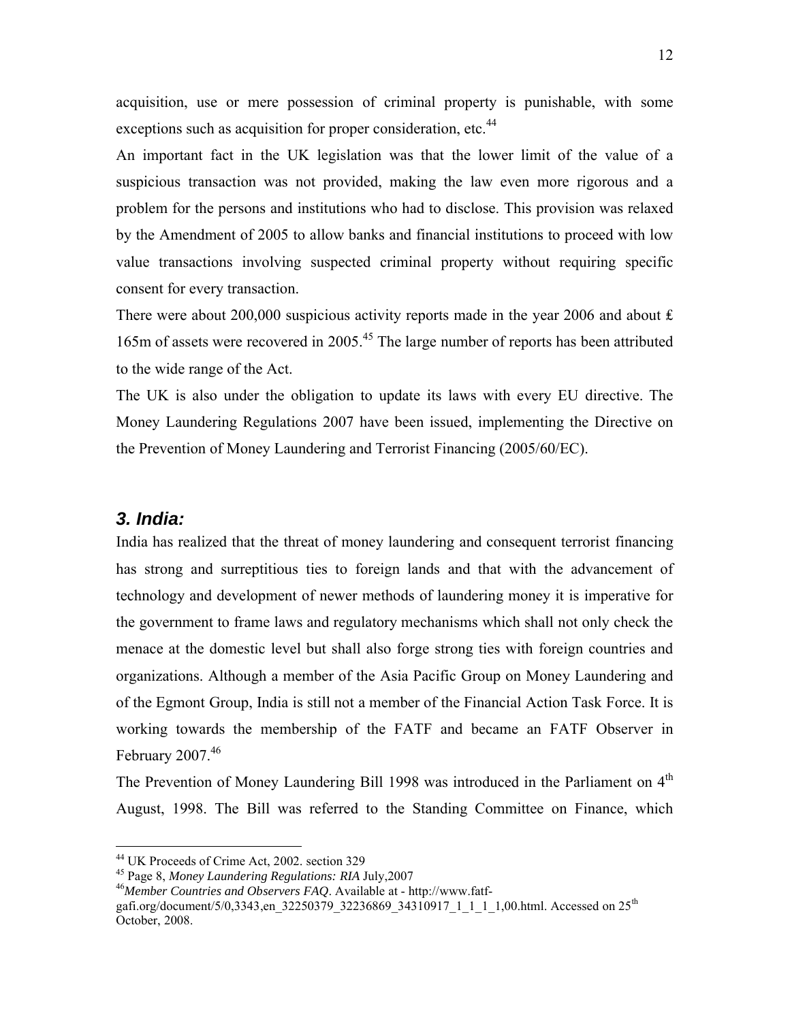acquisition, use or mere possession of criminal property is punishable, with some exceptions such as acquisition for proper consideration, etc.<sup>44</sup>

An important fact in the UK legislation was that the lower limit of the value of a suspicious transaction was not provided, making the law even more rigorous and a problem for the persons and institutions who had to disclose. This provision was relaxed by the Amendment of 2005 to allow banks and financial institutions to proceed with low value transactions involving suspected criminal property without requiring specific consent for every transaction.

There were about 200,000 suspicious activity reports made in the year 2006 and about  $\hat{\mathbf{r}}$ 165m of assets were recovered in 2005.45 The large number of reports has been attributed to the wide range of the Act.

The UK is also under the obligation to update its laws with every EU directive. The Money Laundering Regulations 2007 have been issued, implementing the Directive on the Prevention of Money Laundering and Terrorist Financing (2005/60/EC).

## *3. India:*

 $\overline{a}$ 

India has realized that the threat of money laundering and consequent terrorist financing has strong and surreptitious ties to foreign lands and that with the advancement of technology and development of newer methods of laundering money it is imperative for the government to frame laws and regulatory mechanisms which shall not only check the menace at the domestic level but shall also forge strong ties with foreign countries and organizations. Although a member of the Asia Pacific Group on Money Laundering and of the Egmont Group, India is still not a member of the Financial Action Task Force. It is working towards the membership of the FATF and became an FATF Observer in February  $2007.<sup>46</sup>$ 

The Prevention of Money Laundering Bill 1998 was introduced in the Parliament on  $4<sup>th</sup>$ August, 1998. The Bill was referred to the Standing Committee on Finance, which

<sup>44</sup> UK Proceeds of Crime Act, 2002. section 329

<sup>45</sup> Page 8, *Money Laundering Regulations: RIA* July,2007 <sup>46</sup>*Member Countries and Observers FAQ*. Available at - http://www.fatf-

gafi.org/document/5/0,3343,en\_32250379\_32236869\_34310917\_1\_1\_1\_1,00.html. Accessed on 25<sup>th</sup> October, 2008.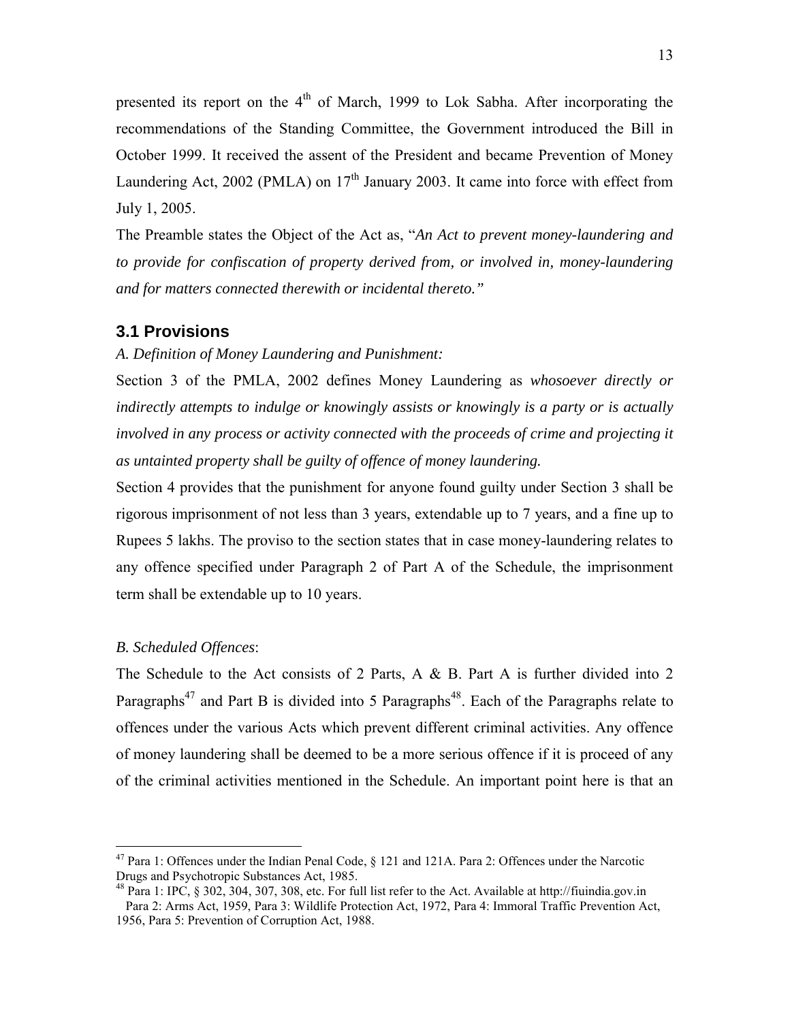presented its report on the  $4<sup>th</sup>$  of March, 1999 to Lok Sabha. After incorporating the recommendations of the Standing Committee, the Government introduced the Bill in October 1999. It received the assent of the President and became Prevention of Money Laundering Act, 2002 (PMLA) on  $17<sup>th</sup>$  January 2003. It came into force with effect from July 1, 2005.

The Preamble states the Object of the Act as, "*An Act to prevent money-laundering and to provide for confiscation of property derived from, or involved in, money-laundering and for matters connected therewith or incidental thereto."*

#### **3.1 Provisions**

#### *A. Definition of Money Laundering and Punishment:*

Section 3 of the PMLA, 2002 defines Money Laundering as *whosoever directly or indirectly attempts to indulge or knowingly assists or knowingly is a party or is actually involved in any process or activity connected with the proceeds of crime and projecting it as untainted property shall be guilty of offence of money laundering.*

Section 4 provides that the punishment for anyone found guilty under Section 3 shall be rigorous imprisonment of not less than 3 years, extendable up to 7 years, and a fine up to Rupees 5 lakhs. The proviso to the section states that in case money-laundering relates to any offence specified under Paragraph 2 of Part A of the Schedule, the imprisonment term shall be extendable up to 10 years.

#### *B. Scheduled Offences*:

 $\overline{a}$ 

The Schedule to the Act consists of 2 Parts, A & B. Part A is further divided into 2 Paragraphs<sup>47</sup> and Part B is divided into 5 Paragraphs<sup>48</sup>. Each of the Paragraphs relate to offences under the various Acts which prevent different criminal activities. Any offence of money laundering shall be deemed to be a more serious offence if it is proceed of any of the criminal activities mentioned in the Schedule. An important point here is that an

<sup>&</sup>lt;sup>47</sup> Para 1: Offences under the Indian Penal Code,  $\frac{1}{2}$  121 and 121A. Para 2: Offences under the Narcotic Drugs and Psychotropic Substances Act, 1985.

<sup>48</sup> Para 1: IPC, § 302, 304, 307, 308, etc. For full list refer to the Act. Available at http://fiuindia.gov.in Para 2: Arms Act, 1959, Para 3: Wildlife Protection Act, 1972, Para 4: Immoral Traffic Prevention Act, 1956, Para 5: Prevention of Corruption Act, 1988.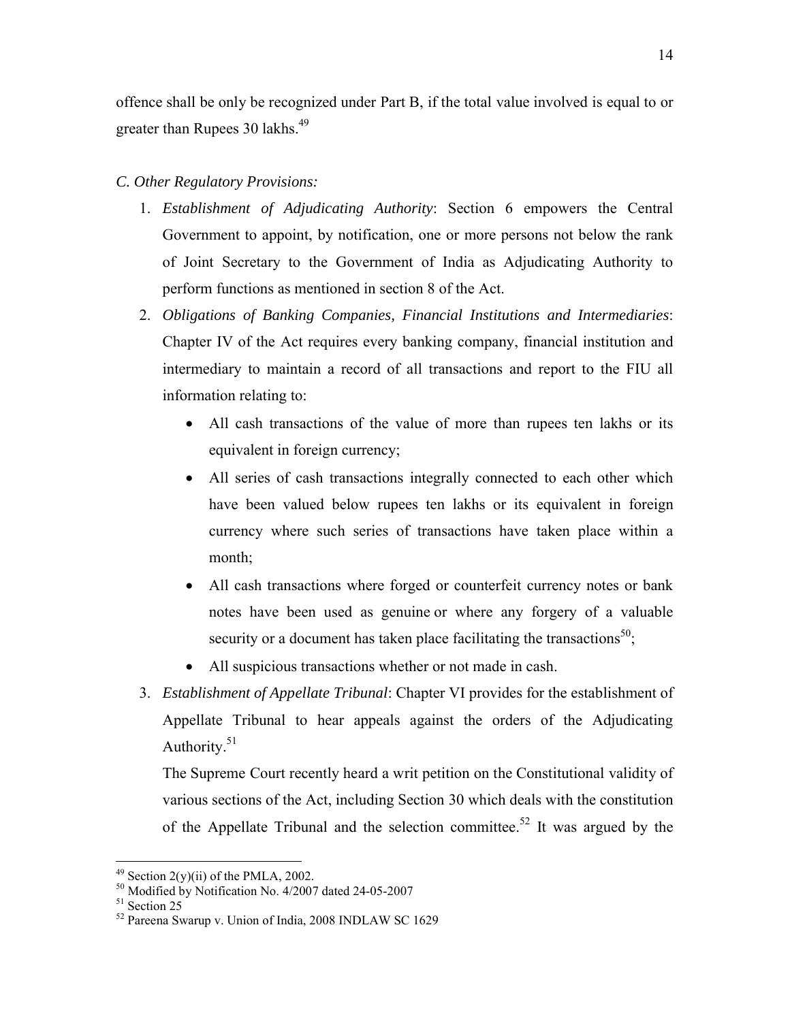offence shall be only be recognized under Part B, if the total value involved is equal to or greater than Rupees 30 lakhs.<sup>49</sup>

## *C. Other Regulatory Provisions:*

- 1. *Establishment of Adjudicating Authority*: Section 6 empowers the Central Government to appoint, by notification, one or more persons not below the rank of Joint Secretary to the Government of India as Adjudicating Authority to perform functions as mentioned in section 8 of the Act.
- 2. *Obligations of Banking Companies, Financial Institutions and Intermediaries*: Chapter IV of the Act requires every banking company, financial institution and intermediary to maintain a record of all transactions and report to the FIU all information relating to:
	- All cash transactions of the value of more than rupees ten lakhs or its equivalent in foreign currency;
	- All series of cash transactions integrally connected to each other which have been valued below rupees ten lakhs or its equivalent in foreign currency where such series of transactions have taken place within a month;
	- All cash transactions where forged or counterfeit currency notes or bank notes have been used as genuine or where any forgery of a valuable security or a document has taken place facilitating the transactions<sup>50</sup>;
	- All suspicious transactions whether or not made in cash.
- 3. *Establishment of Appellate Tribunal*: Chapter VI provides for the establishment of Appellate Tribunal to hear appeals against the orders of the Adjudicating Authority.<sup>51</sup>

The Supreme Court recently heard a writ petition on the Constitutional validity of various sections of the Act, including Section 30 which deals with the constitution of the Appellate Tribunal and the selection committee.<sup>52</sup> It was argued by the

 $49$  Section 2(y)(ii) of the PMLA, 2002.

 $^{50}$  Modified by Notification No. 4/2007 dated 24-05-2007<br><sup>51</sup> Section 25

<sup>52</sup> Pareena Swarup v. Union of India, 2008 INDLAW SC 1629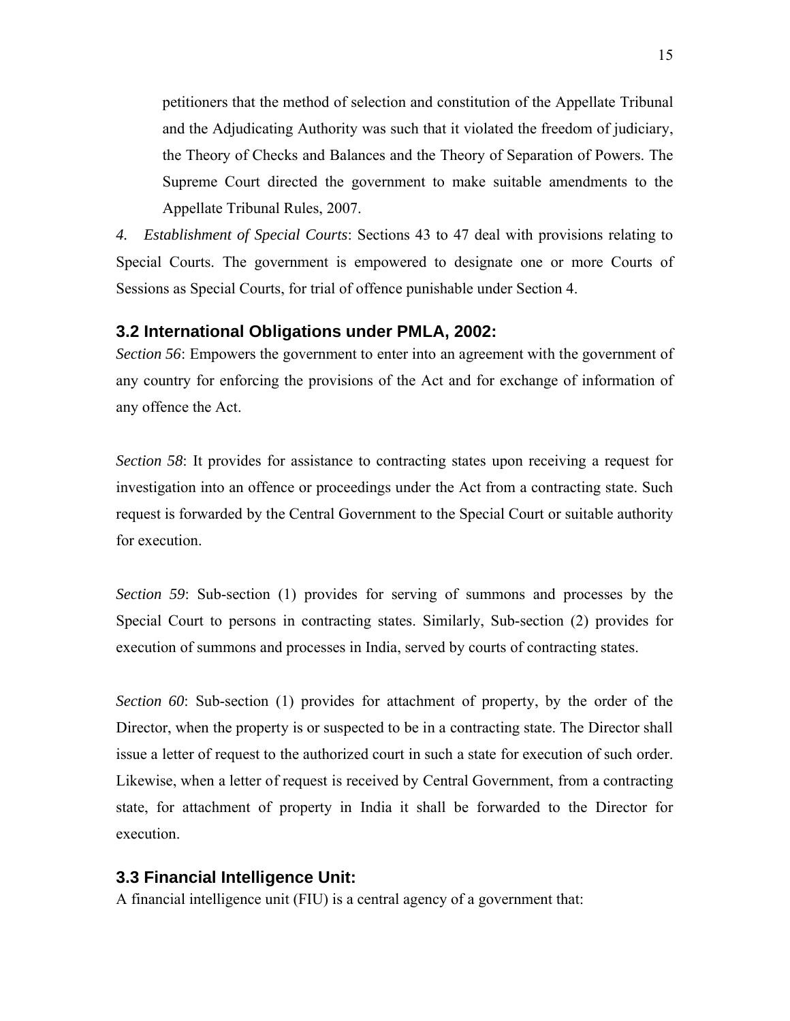petitioners that the method of selection and constitution of the Appellate Tribunal and the Adjudicating Authority was such that it violated the freedom of judiciary, the Theory of Checks and Balances and the Theory of Separation of Powers. The Supreme Court directed the government to make suitable amendments to the Appellate Tribunal Rules, 2007.

*4. Establishment of Special Courts*: Sections 43 to 47 deal with provisions relating to Special Courts. The government is empowered to designate one or more Courts of Sessions as Special Courts, for trial of offence punishable under Section 4.

#### **3.2 International Obligations under PMLA, 2002:**

*Section 56*: Empowers the government to enter into an agreement with the government of any country for enforcing the provisions of the Act and for exchange of information of any offence the Act.

*Section 58*: It provides for assistance to contracting states upon receiving a request for investigation into an offence or proceedings under the Act from a contracting state. Such request is forwarded by the Central Government to the Special Court or suitable authority for execution.

*Section 59*: Sub-section (1) provides for serving of summons and processes by the Special Court to persons in contracting states. Similarly, Sub-section (2) provides for execution of summons and processes in India, served by courts of contracting states.

*Section 60*: Sub-section (1) provides for attachment of property, by the order of the Director, when the property is or suspected to be in a contracting state. The Director shall issue a letter of request to the authorized court in such a state for execution of such order. Likewise, when a letter of request is received by Central Government, from a contracting state, for attachment of property in India it shall be forwarded to the Director for execution.

#### **3.3 Financial Intelligence Unit:**

A financial intelligence unit (FIU) is a central agency of a government that: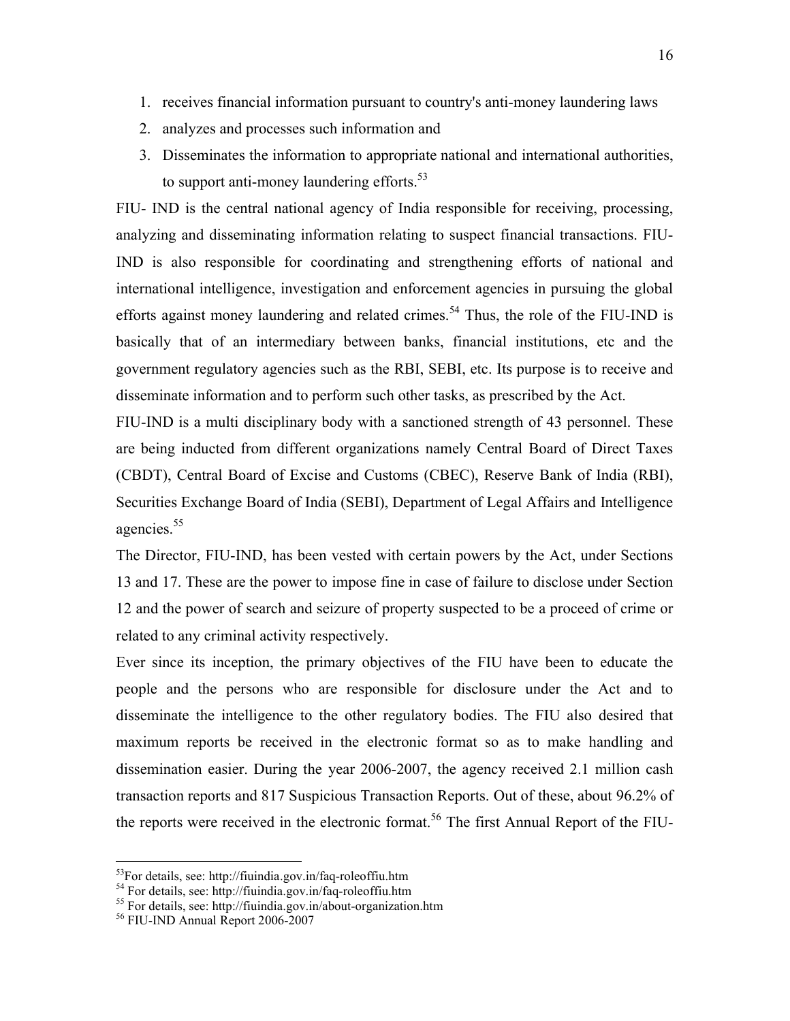- 1. receives financial information pursuant to country's anti-money laundering laws
- 2. analyzes and processes such information and
- 3. Disseminates the information to appropriate national and international authorities, to support anti-money laundering efforts.<sup>53</sup>

FIU- IND is the central national agency of India responsible for receiving, processing, analyzing and disseminating information relating to suspect financial transactions. FIU-IND is also responsible for coordinating and strengthening efforts of national and international intelligence, investigation and enforcement agencies in pursuing the global efforts against money laundering and related crimes.<sup>54</sup> Thus, the role of the FIU-IND is basically that of an intermediary between banks, financial institutions, etc and the government regulatory agencies such as the RBI, SEBI, etc. Its purpose is to receive and disseminate information and to perform such other tasks, as prescribed by the Act.

FIU-IND is a multi disciplinary body with a sanctioned strength of 43 personnel. These are being inducted from different organizations namely Central Board of Direct Taxes (CBDT), Central Board of Excise and Customs (CBEC), Reserve Bank of India (RBI), Securities Exchange Board of India (SEBI), Department of Legal Affairs and Intelligence agencies.<sup>55</sup>

The Director, FIU-IND, has been vested with certain powers by the Act, under Sections 13 and 17. These are the power to impose fine in case of failure to disclose under Section 12 and the power of search and seizure of property suspected to be a proceed of crime or related to any criminal activity respectively.

Ever since its inception, the primary objectives of the FIU have been to educate the people and the persons who are responsible for disclosure under the Act and to disseminate the intelligence to the other regulatory bodies. The FIU also desired that maximum reports be received in the electronic format so as to make handling and dissemination easier. During the year 2006-2007, the agency received 2.1 million cash transaction reports and 817 Suspicious Transaction Reports. Out of these, about 96.2% of the reports were received in the electronic format.<sup>56</sup> The first Annual Report of the FIU-

<sup>53</sup>For details, see: http://fiuindia.gov.in/faq-roleoffiu.htm

<sup>&</sup>lt;sup>54</sup> For details, see: http://fiuindia.gov.in/faq-roleoffiu.htm

<sup>55</sup> For details, see: http://fiuindia.gov.in/about-organization.htm

<sup>56</sup> FIU-IND Annual Report 2006-2007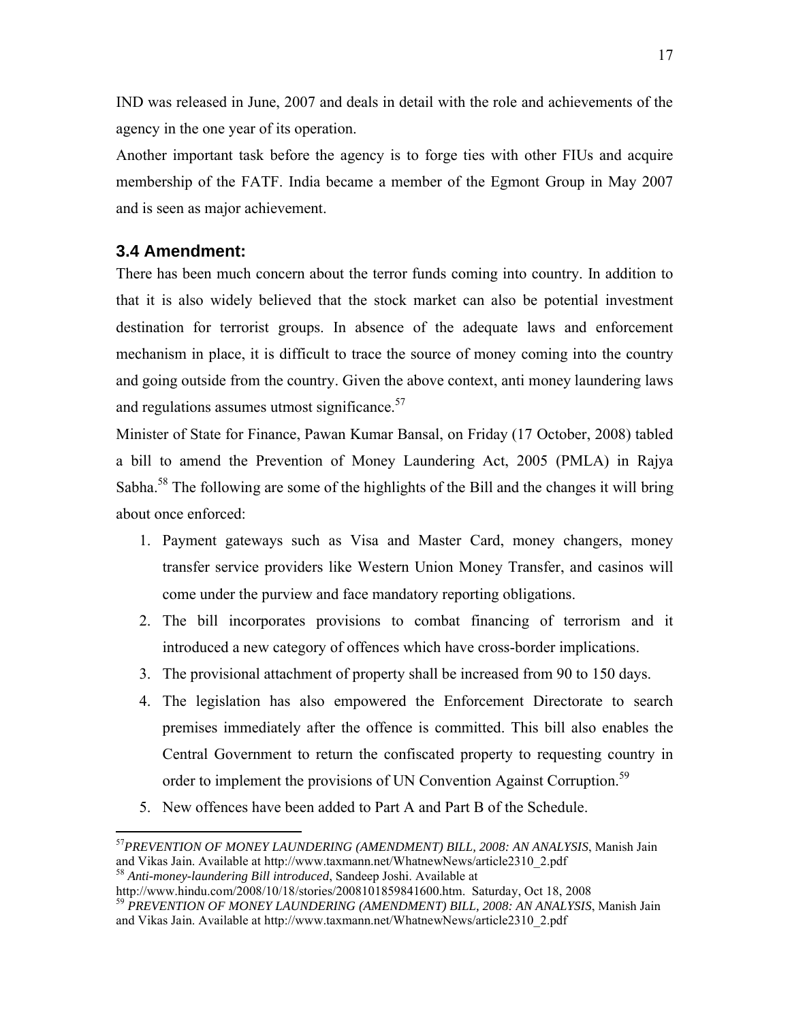IND was released in June, 2007 and deals in detail with the role and achievements of the agency in the one year of its operation.

Another important task before the agency is to forge ties with other FIUs and acquire membership of the FATF. India became a member of the Egmont Group in May 2007 and is seen as major achievement.

## **3.4 Amendment:**

 $\overline{a}$ 

There has been much concern about the terror funds coming into country. In addition to that it is also widely believed that the stock market can also be potential investment destination for terrorist groups. In absence of the adequate laws and enforcement mechanism in place, it is difficult to trace the source of money coming into the country and going outside from the country. Given the above context, anti money laundering laws and regulations assumes utmost significance. $57$ 

Minister of State for Finance, Pawan Kumar Bansal, on Friday (17 October, 2008) tabled a bill to amend the Prevention of Money Laundering Act, 2005 (PMLA) in Rajya Sabha.<sup>58</sup> The following are some of the highlights of the Bill and the changes it will bring about once enforced:

- 1. Payment gateways such as Visa and Master Card, money changers, money transfer service providers like Western Union Money Transfer, and casinos will come under the purview and face mandatory reporting obligations.
- 2. The bill incorporates provisions to combat financing of terrorism and it introduced a new category of offences which have cross-border implications.
- 3. The provisional attachment of property shall be increased from 90 to 150 days.
- 4. The legislation has also empowered the Enforcement Directorate to search premises immediately after the offence is committed. This bill also enables the Central Government to return the confiscated property to requesting country in order to implement the provisions of UN Convention Against Corruption.<sup>59</sup>
- 5. New offences have been added to Part A and Part B of the Schedule.

<sup>57</sup>*PREVENTION OF MONEY LAUNDERING (AMENDMENT) BILL, 2008: AN ANALYSIS*, Manish Jain and Vikas Jain. Available at http://www.taxmann.net/WhatnewNews/article2310\_2.pdf <sup>58</sup> *Anti-money-laundering Bill introduced*, Sandeep Joshi. Available at

http://www.hindu.com/2008/10/18/stories/2008101859841600.htm. Saturday, Oct 18, 2008 <sup>59</sup> *PREVENTION OF MONEY LAUNDERING (AMENDMENT) BILL, 2008: AN ANALYSIS*, Manish Jain and Vikas Jain. Available at http://www.taxmann.net/WhatnewNews/article2310\_2.pdf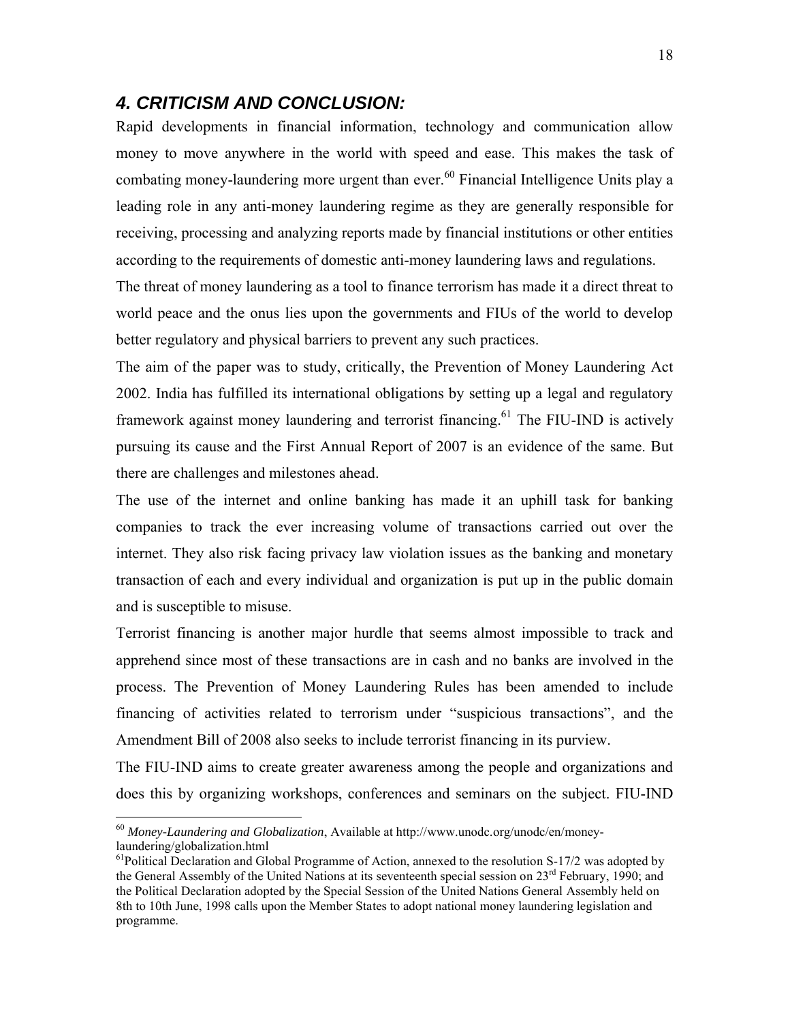## *4. CRITICISM AND CONCLUSION:*

Rapid developments in financial information, technology and communication allow money to move anywhere in the world with speed and ease. This makes the task of combating money-laundering more urgent than ever.<sup>60</sup> Financial Intelligence Units play a leading role in any anti-money laundering regime as they are generally responsible for receiving, processing and analyzing reports made by financial institutions or other entities according to the requirements of domestic anti-money laundering laws and regulations.

The threat of money laundering as a tool to finance terrorism has made it a direct threat to world peace and the onus lies upon the governments and FIUs of the world to develop better regulatory and physical barriers to prevent any such practices.

The aim of the paper was to study, critically, the Prevention of Money Laundering Act 2002. India has fulfilled its international obligations by setting up a legal and regulatory framework against money laundering and terrorist financing.<sup>61</sup> The FIU-IND is actively pursuing its cause and the First Annual Report of 2007 is an evidence of the same. But there are challenges and milestones ahead.

The use of the internet and online banking has made it an uphill task for banking companies to track the ever increasing volume of transactions carried out over the internet. They also risk facing privacy law violation issues as the banking and monetary transaction of each and every individual and organization is put up in the public domain and is susceptible to misuse.

Terrorist financing is another major hurdle that seems almost impossible to track and apprehend since most of these transactions are in cash and no banks are involved in the process. The Prevention of Money Laundering Rules has been amended to include financing of activities related to terrorism under "suspicious transactions", and the Amendment Bill of 2008 also seeks to include terrorist financing in its purview.

The FIU-IND aims to create greater awareness among the people and organizations and does this by organizing workshops, conferences and seminars on the subject. FIU-IND

<sup>60</sup> *Money-Laundering and Globalization*, Available at http://www.unodc.org/unodc/en/moneylaundering/globalization.html

 $<sup>61</sup>$ Political Declaration and Global Programme of Action, annexed to the resolution S-17/2 was adopted by</sup> the General Assembly of the United Nations at its seventeenth special session on  $23<sup>rd</sup>$  February, 1990; and the Political Declaration adopted by the Special Session of the United Nations General Assembly held on 8th to 10th June, 1998 calls upon the Member States to adopt national money laundering legislation and programme.